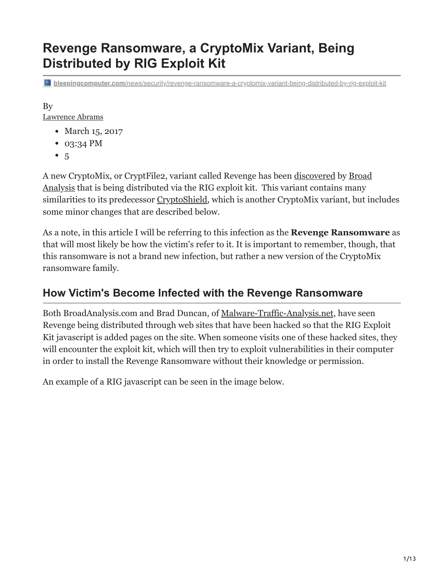# **Revenge Ransomware, a CryptoMix Variant, Being Distributed by RIG Exploit Kit**

**bleepingcomputer.com**[/news/security/revenge-ransomware-a-cryptomix-variant-being-distributed-by-rig-exploit-kit](https://www.bleepingcomputer.com/news/security/revenge-ransomware-a-cryptomix-variant-being-distributed-by-rig-exploit-kit/)

By [Lawrence Abrams](https://www.bleepingcomputer.com/author/lawrence-abrams/)

- March 15, 2017
- 03:34 PM
- $5$  $5$

[A new CryptoMix, or CryptFile2, variant called Revenge has been d](https://twitter.com/BroadAnalysis)[iscovered](http://www.broadanalysis.com/2017/03/14/rig-exploit-kit-via-the-eitest-delivers-cryptoshieldrevenge-ransomware/) [by Broad](https://twitter.com/BroadAnalysis) Analysis that is being distributed via the RIG exploit kit. This variant contains many similarities to its predecessor [CryptoShield,](https://www.bleepingcomputer.com/news/security/cryptomix-variant-named-cryptoshield-1-0-ransomware-distributed-by-exploit-kits/) which is another CryptoMix variant, but includes some minor changes that are described below.

As a note, in this article I will be referring to this infection as the **Revenge Ransomware** as that will most likely be how the victim's refer to it. It is important to remember, though, that this ransomware is not a brand new infection, but rather a new version of the CryptoMix ransomware family.

## **How Victim's Become Infected with the Revenge Ransomware**

Both BroadAnalysis.com and Brad Duncan, of [Malware-Traffic-Analysis.net,](http://www.malware-traffic-analysis.net/) have seen Revenge being distributed through web sites that have been hacked so that the RIG Exploit Kit javascript is added pages on the site. When someone visits one of these hacked sites, they will encounter the exploit kit, which will then try to exploit vulnerabilities in their computer in order to install the Revenge Ransomware without their knowledge or permission.

An example of a RIG javascript can be seen in the image below.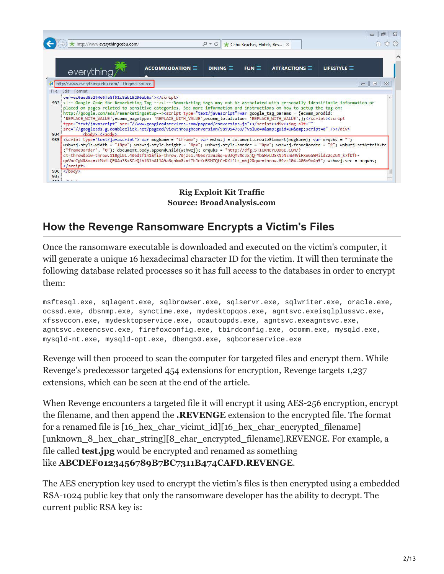| http://www.everythingcebu.com/<br>everything       | ACCOMMODATION $\equiv$ | $DINING \equiv$                                                                                                                                                                                                                                                                                                                                                                                                                                                                                                                                                                                            | Cebu Beaches, Hotels, Res X<br>$FUN \equiv$ | $ATTRACTIONS \equiv$ | 仙云鸽<br><b>LIFESTYLE</b> $\equiv$ |  |  |
|----------------------------------------------------|------------------------|------------------------------------------------------------------------------------------------------------------------------------------------------------------------------------------------------------------------------------------------------------------------------------------------------------------------------------------------------------------------------------------------------------------------------------------------------------------------------------------------------------------------------------------------------------------------------------------------------------|---------------------------------------------|----------------------|----------------------------------|--|--|
| P http://www.everythingcebu.com/ - Original Source |                        |                                                                                                                                                                                                                                                                                                                                                                                                                                                                                                                                                                                                            |                                             |                      | $\Sigma$<br>$\Box$<br>$\equiv$   |  |  |
| File Edit Format                                   |                        |                                                                                                                                                                                                                                                                                                                                                                                                                                                                                                                                                                                                            |                                             |                      |                                  |  |  |
|                                                    |                        | http://google.com/ads/remarketingsetup--> <script type="text/javascript">var google tag params = {ecomm_prodid:</th><th></th><th></th><th></th></tr><tr><th>'REPLACE WITH VALUE',ecomm_pagetype: 'REPLACE WITH VALUE',ecomm_totalvalue: 'REPLACE WITH VALUE',};</script> <script<br>type="text/javascript" src="//www.googleadservices.com/pagead/conversion.js"&gt;<div><img <br="" alt=""/>src="//googleads.g.doubleclick.net/pagead/viewthroughconversion/989954769/?value=0&amp;guid=ON&amp;script=0"/&gt;</div><br/><math>\langle</math> hody&gt; <math>\langle</math> / hody&gt;<br/>934</script<br> |                                             |                      |                                  |  |  |

#### **Rig Exploit Kit Traffic Source: BroadAnalysis.com**

## **How the Revenge Ransomware Encrypts a Victim's Files**

Once the ransomware executable is downloaded and executed on the victim's computer, it will generate a unique 16 hexadecimal character ID for the victim. It will then terminate the following database related processes so it has full access to the databases in order to encrypt them:

msftesql.exe, sqlagent.exe, sqlbrowser.exe, sqlservr.exe, sqlwriter.exe, oracle.exe, ocssd.exe, dbsnmp.exe, synctime.exe, mydesktopqos.exe, agntsvc.exeisqlplussvc.exe, xfssvccon.exe, mydesktopservice.exe, ocautoupds.exe, agntsvc.exeagntsvc.exe, agntsvc.exeencsvc.exe, firefoxconfig.exe, tbirdconfig.exe, ocomm.exe, mysqld.exe, mysqld-nt.exe, mysqld-opt.exe, dbeng50.exe, sqbcoreservice.exe

Revenge will then proceed to scan the computer for targeted files and encrypt them. While Revenge's predecessor targeted 454 extensions for encryption, Revenge targets 1,237 extensions, which can be seen at the end of the article.

When Revenge encounters a targeted file it will encrypt it using AES-256 encryption, encrypt the filename, and then append the **.REVENGE** extension to the encrypted file. The format for a renamed file is [16 hex char vicimt id][16 hex char encrypted filename] [unknown 8 hex char string][8 char encrypted filename].REVENGE. For example, a file called **test.jpg** would be encrypted and renamed as something like **ABCDEF0123456789B7BC7311B474CAFD.REVENGE**.

The AES encryption key used to encrypt the victim's files is then encrypted using a embedded RSA-1024 public key that only the ransomware developer has the ability to decrypt. The current public RSA key is: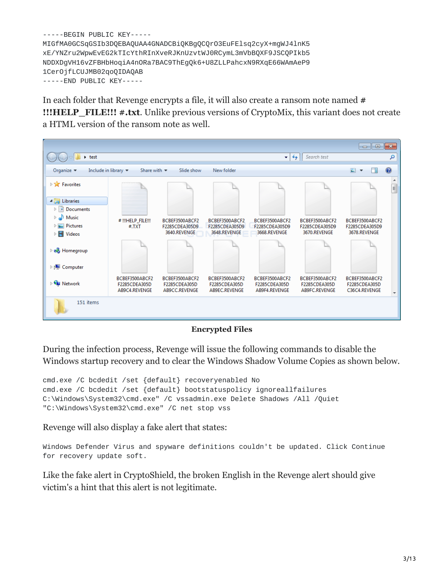```
-----BEGIN PUBLIC KEY-----
MIGfMA0GCSqGSIb3DQEBAQUAA4GNADCBiQKBgQCQrO3EuFElsq2cyX+mgWJ4lnK5
xE/YNZru2WpwEvEG2kTIcYthRInXveRJKnUzvtWJ0RCymL3mVbBQXF9JSCQPIkb5
NDDXDgVH16vZFBHbHoqiA4nORa7BAC9ThEgQk6+U8ZLLPahcxN9RXqE66WAmAeP9
1CerOjfLCUJMB02qoQIDAQAB
-----END PUBLIC KEY-----
```
In each folder that Revenge encrypts a file, it will also create a ransom note named **# !!!HELP\_FILE!!! #.txt**. Unlike previous versions of CryptoMix, this variant does not create a HTML version of the ransom note as well.



#### **Encrypted Files**

During the infection process, Revenge will issue the following commands to disable the Windows startup recovery and to clear the Windows Shadow Volume Copies as shown below.

```
cmd.exe /C bcdedit /set {default} recoveryenabled No
cmd.exe /C bcdedit /set {default} bootstatuspolicy ignoreallfailures
C:\Windows\System32\cmd.exe" /C vssadmin.exe Delete Shadows /All /Quiet
"C:\Windows\System32\cmd.exe" /C net stop vss
```
Revenge will also display a fake alert that states:

Windows Defender Virus and spyware definitions couldn't be updated. Click Continue for recovery update soft.

Like the fake alert in CryptoShield, the broken English in the Revenge alert should give victim's a hint that this alert is not legitimate.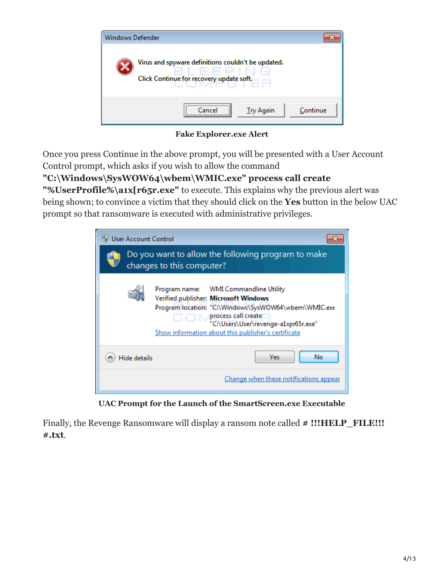

**Fake Explorer.exe Alert**

Once you press Continue in the above prompt, you will be presented with a User Account Control prompt, which asks if you wish to allow the command

## **"C:\Windows\SysWOW64\wbem\WMIC.exe" process call create**

**"%UserProfile%\a1x[r65r.exe"** to execute. This explains why the previous alert was being shown; to convince a victim that they should click on the **Yes** button in the below UAC prompt so that ransomware is executed with administrative privileges.

| <b>User Account Control</b> |                                                                                                                                                                                                                                                              |
|-----------------------------|--------------------------------------------------------------------------------------------------------------------------------------------------------------------------------------------------------------------------------------------------------------|
|                             | Do you want to allow the following program to make<br>changes to this computer?                                                                                                                                                                              |
|                             | Program name: WMI Commandline Utility<br>Verified publisher: Microsoft Windows<br>Program location: "C:\Windows\SysWOW64\wbem\WMIC.exe<br>process call create<br>"C:\Users\User\revenge-a1xpr65r.exe"<br>Show information about this publisher's certificate |
| <b>Hide details</b>         | Yes<br>No                                                                                                                                                                                                                                                    |
|                             | Change when these notifications appear                                                                                                                                                                                                                       |

**UAC Prompt for the Launch of the SmartScreen.exe Executable**

Finally, the Revenge Ransomware will display a ransom note called  $#$  !!!HELP\_FILE!!! **#.txt**.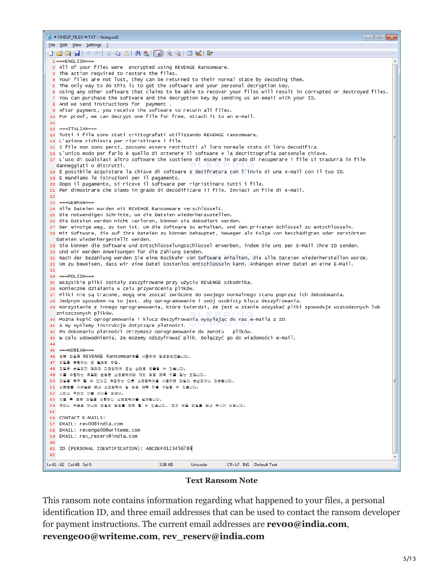| <u>File Edit View Settings ?</u><br>D F Q H   9 N   3 Q B   5 3   5   6 Q   8   2   10 K   10<br>$1 = = = ENGLISH ==$<br>2 All of your files were encrypted using REVENGE Ransomware.                                      |
|----------------------------------------------------------------------------------------------------------------------------------------------------------------------------------------------------------------------------|
|                                                                                                                                                                                                                            |
|                                                                                                                                                                                                                            |
|                                                                                                                                                                                                                            |
| 3 The action required to restore the files.                                                                                                                                                                                |
| 4 Your files are not lost, they can be returned to their normal state by decoding them.                                                                                                                                    |
| s The only way to do this is to get the software and your personal decryption key.                                                                                                                                         |
| 6 Using any other software that claims to be able to recover your files will result in corrupted or destroyed files.<br>7 You can purchase the software and the decryption key by sending us an email with your ID.        |
| 8 And we send instructions for payment.                                                                                                                                                                                    |
| 9 After payment, you receive the software to return all files.                                                                                                                                                             |
| 10 For proof, we can decrypt one file for free. Attach it to an e-mail.<br>11                                                                                                                                              |
| $12$ ===ITALIAN===                                                                                                                                                                                                         |
| 13 Tutti i file sono stati crittografati utilizzando REVENGE ransomware.                                                                                                                                                   |
| 14 L'azione richiesta per ripristinare i file.<br>15 I file non sono persi, possono essere restituiti al loro normale stato di loro decodifica.                                                                            |
| 16 L'unico modo per farlo è quello di ottenere il software e la decrittografia personale chiave.                                                                                                                           |
| 17 L'uso di qualsiasi altro software che sostiene di essere in grado di recuperare i file si tradurrà in file                                                                                                              |
| danneggiati o distrutti.                                                                                                                                                                                                   |
| 18 È possibile acquistare la chiave di software e decifratura con l'invio di una e-mail con il tuo ID.<br>19 E mandiamo le istruzioni per il pagamento.                                                                    |
| 20 Dopo il pagamento, si riceve il software per ripristinare tutti i file.                                                                                                                                                 |
| 21 Per dimostrare che siamo in grado di decodificare il file. Inviaci un file di e-mail.                                                                                                                                   |
| 22<br>$23 = -GERMAN ==$                                                                                                                                                                                                    |
| 24 Alle Dateien wurden mit REVENGE Ransomware verschlüsselt.                                                                                                                                                               |
| 25 Die notwendigen Schritte, um die Dateien wiederherzustellen.                                                                                                                                                            |
| ze Die Dateien werden nicht verloren, können sie dekodiert werden.                                                                                                                                                         |
| 27 Der einzige Weg, zu tun ist, um die Software zu erhalten, und den privaten Schlüssel zu entschlüsseln.<br>28 Mit Software, die auf Ihre Dateien zu können behauptet, bewegen als Folge von beschädigten oder zerstörten |
| Dateien wiederhergestellt werden.                                                                                                                                                                                          |
| 29 Sie können die Software und Entschlüsselungsschlüssel erwerben, indem Sie uns per E-Mail Ihre ID senden.                                                                                                                |
| 30 Und wir werden Anweisungen für die Zahlung senden.<br>31 Nach der Bezahlung werden Sie eine Rückkehr von Software erhalten, die alle Dateien wiederherstellen würde.                                                    |
| 32 Um zu beweisen, dass wir eine Datei kostenlos entschlüsseln kann. Anhängen einer Datei an eine E-Mail.                                                                                                                  |
| 33                                                                                                                                                                                                                         |
| $34$ ===POLISH===<br>35 Wszystkie pliki zostały zaszyfrowane przy użyciu REVENGE szkodnika.                                                                                                                                |
| 36 Konieczne działania w celu przywrócenia plików.                                                                                                                                                                         |
| 37 Pliki nie są tracone, mogą one zostać zwrócone do swojego normalnego stanu poprzez ich dekodowania.                                                                                                                     |
| 38 Jedynym sposobem na to jest, aby oprogramowanie i swój osobisty klucz deszyfrowania.<br>39 Korzystanie z innego oprogramowania, które twierdzi, że jest w stanie odzyskać pliki spowoduje uszkodzonych lub              |
| zniszczonych plików.                                                                                                                                                                                                       |
| 40 Można kupić oprogramowanie i klucz deszyfrowania wysyłając do nas e-maila z ID.                                                                                                                                         |
| 41 A my wyślemy instrukcje dotyczące płatności.                                                                                                                                                                            |
| 42 Po dokonaniu płatności otrzymasz oprogramowanie do zwrotu<br>plików.<br>43 W celu udowodnienia, że możemy odszyfrować plik. Dołączyć go do wiadomości e-mail.                                                           |
| 44                                                                                                                                                                                                                         |
| ===KOREAN===<br>45                                                                                                                                                                                                         |
| 46 모든 파일은 REVENGE Ransomware를 사용하여 암호화되었습니다.<br>47 파일을 복원하는 데 필요한 작업.                                                                                                                                                      |
| 48 파일은 손실되지 않으며 디코딩하여 정상 상태로 되돌릴 수 있습니다.                                                                                                                                                                                   |
| 49 이를 수행하는 유일한 방법은 소프트웨어와 개인 암호 해독 키를 얻는 것입니다.                                                                                                                                                                             |
| 50 파일을 복구 할 수 있다고 주장하는 다른 소프트웨어를 사용하면 파일이 손상되거나 파손됩니다.<br>51 신분증을 이메일로 보내 소프트웨어 및 암호 해독 키를 구입할 수 있습니다.                                                                                                                     |
| 52 그리고 우리는 지불 지시를 보낸다.                                                                                                                                                                                                     |
| 53 지불 후 모든 파일을 반환하는 소프트웨어를 받게됩니다.                                                                                                                                                                                          |
| 54 우리는 무료로 하나의 파일의 암호를 해독 할 수 있습니다. 전자 메일 파일을 보내 주시기 바랍니다.                                                                                                                                                                 |
| 55<br>56 CONTACT E-MAILS:                                                                                                                                                                                                  |
| 57 EMAIL: rev00@india.com                                                                                                                                                                                                  |
| 58 EMAIL: revenge00@writeme.com                                                                                                                                                                                            |
| 59 EMAIL: rev_reserv@india.com<br>60                                                                                                                                                                                       |
| 61 ID (PERSONAL IDENTIFICATION): ABCDEF0123456789                                                                                                                                                                          |
| 62                                                                                                                                                                                                                         |
| CR+LF INS Default Text<br>Ln 61:62 Col 48 Sel 0<br>3.98 KB<br>Unicode                                                                                                                                                      |

#### **Text Ransom Note**

This ransom note contains information regarding what happened to your files, a personal identification ID, and three email addresses that can be used to contact the ransom developer for payment instructions. The current email addresses are **revoo@india.com**, **revenge00@writeme.com**, **rev\_reserv@india.com**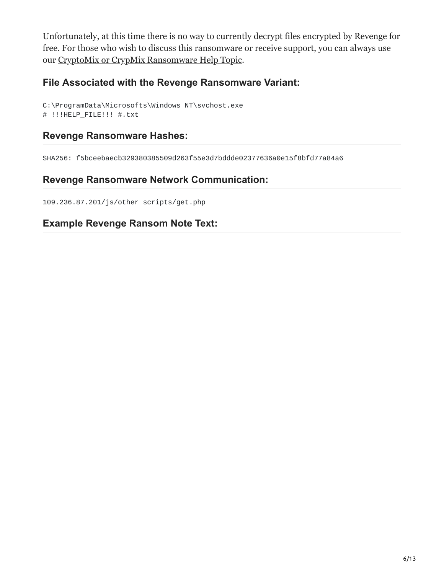Unfortunately, at this time there is no way to currently decrypt files encrypted by Revenge for free. For those who wish to discuss this ransomware or receive support, you can always use our [CryptoMix or CrypMix Ransomware Help Topic.](https://www.bleepingcomputer.com/forums/t/611907/cryptomix-or-crypmix-ransomware-help-topic-code-cryptoshield-scl-extension/)

### **File Associated with the Revenge Ransomware Variant:**

```
C:\ProgramData\Microsofts\Windows NT\svchost.exe
# !!!HELP_FILE!!! #.txt
```
#### **Revenge Ransomware Hashes:**

SHA256: f5bceebaecb329380385509d263f55e3d7bddde02377636a0e15f8bfd77a84a6

### **Revenge Ransomware Network Communication:**

109.236.87.201/js/other\_scripts/get.php

### **Example Revenge Ransom Note Text:**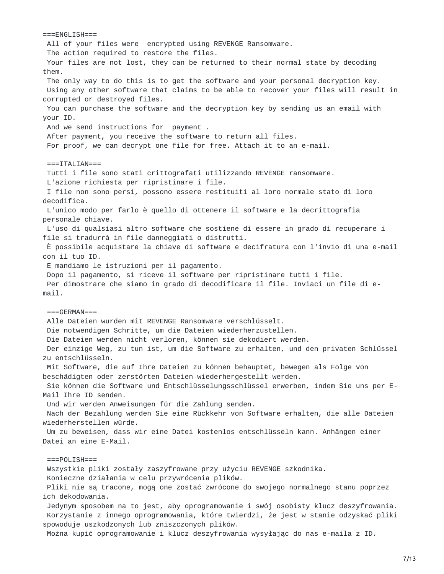$===ENGLISH===$ All of your files were encrypted using REVENGE Ransomware. The action required to restore the files. Your files are not lost, they can be returned to their normal state by decoding them. The only way to do this is to get the software and your personal decryption key. Using any other software that claims to be able to recover your files will result in corrupted or destroyed files. You can purchase the software and the decryption key by sending us an email with your ID. And we send instructions for payment . After payment, you receive the software to return all files. For proof, we can decrypt one file for free. Attach it to an e-mail.  $===ITALIAN==$ Tutti i file sono stati crittografati utilizzando REVENGE ransomware. L'azione richiesta per ripristinare i file. I file non sono persi, possono essere restituiti al loro normale stato di loro decodifica. L'unico modo per farlo è quello di ottenere il software e la decrittografia personale chiave. L'uso di qualsiasi altro software che sostiene di essere in grado di recuperare i file si tradurrà in file danneggiati o distrutti. È possibile acquistare la chiave di software e decifratura con l'invio di una e-mail con il tuo ID. E mandiamo le istruzioni per il pagamento. Dopo il pagamento, si riceve il software per ripristinare tutti i file. Per dimostrare che siamo in grado di decodificare il file. Inviaci un file di email.  $===GERMAN==$ Alle Dateien wurden mit REVENGE Ransomware verschlüsselt. Die notwendigen Schritte, um die Dateien wiederherzustellen. Die Dateien werden nicht verloren, können sie dekodiert werden. Der einzige Weg, zu tun ist, um die Software zu erhalten, und den privaten Schlüssel zu entschlüsseln. Mit Software, die auf Ihre Dateien zu können behauptet, bewegen als Folge von beschädigten oder zerstörten Dateien wiederhergestellt werden. Sie können die Software und Entschlüsselungsschlüssel erwerben, indem Sie uns per E-Mail Ihre ID senden. Und wir werden Anweisungen für die Zahlung senden. Nach der Bezahlung werden Sie eine Rückkehr von Software erhalten, die alle Dateien wiederherstellen würde. Um zu beweisen, dass wir eine Datei kostenlos entschlüsseln kann. Anhängen einer Datei an eine E-Mail.  $==POLISH==$ Wszystkie pliki zostały zaszyfrowane przy użyciu REVENGE szkodnika. Konieczne działania w celu przywrócenia plików. Pliki nie są tracone, mogą one zostać zwrócone do swojego normalnego stanu poprzez ich dekodowania. Jedynym sposobem na to jest, aby oprogramowanie i swój osobisty klucz deszyfrowania. Korzystanie z innego oprogramowania, które twierdzi, że jest w stanie odzyskać pliki spowoduje uszkodzonych lub zniszczonych plików. Można kupić oprogramowanie i klucz deszyfrowania wysyłając do nas e-maila z ID.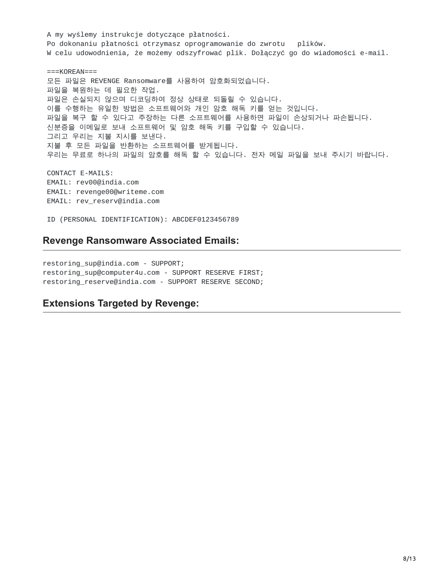A my wyślemy instrukcje dotyczące płatności. Po dokonaniu płatności otrzymasz oprogramowanie do zwrotu plików. W celu udowodnienia, że możemy odszyfrować plik. Dołączyć go do wiadomości e-mail.

 $==$ KOREAN=== 모든 파일은 REVENGE Ransomware를 사용하여 암호화되었습니다. 파일을 복원하는 데 필요한 작업. 파일은 손실되지 않으며 디코딩하여 정상 상태로 되돌릴 수 있습니다. 이를 수행하는 유일한 방법은 소프트웨어와 개인 암호 해독 키를 얻는 것입니다. 파일을 복구 할 수 있다고 주장하는 다른 소프트웨어를 사용하면 파일이 손상되거나 파손됩니다. 신분증을 이메일로 보내 소프트웨어 및 암호 해독 키를 구입할 수 있습니다. 그리고 우리는 지불 지시를 보낸다. 지불 후 모든 파일을 반환하는 소프트웨어를 받게됩니다. 우리는 무료로 하나의 파일의 암호를 해독 할 수 있습니다. 전자 메일 파일을 보내 주시기 바랍니다.

CONTACT E-MAILS: EMAIL: rev00@india.com EMAIL: revenge00@writeme.com EMAIL: rev\_reserv@india.com

ID (PERSONAL IDENTIFICATION): ABCDEF0123456789

#### **Revenge Ransomware Associated Emails:**

restoring\_sup@india.com - SUPPORT; restoring\_sup@computer4u.com - SUPPORT RESERVE FIRST; restoring\_reserve@india.com - SUPPORT RESERVE SECOND;

### **Extensions Targeted by Revenge:**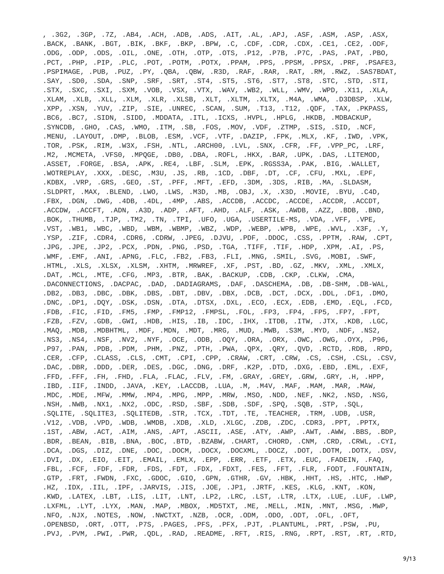, .3G2, .3GP, .7Z, .AB4, .ACH, .ADB, .ADS, .AIT, .AL, .APJ, .ASF, .ASM, .ASP, .ASX, .BACK, .BANK, .BGT, .BIK, .BKF, .BKP, .BPW, .C, .CDF, .CDR, .CDX, .CE1, .CE2, .ODF, .ODG, .ODP, .ODS, .OIL, .ONE, .OTH, .OTP, .OTS, .P12, .P7B, .P7C, .PAS, .PAT, .PBO, .PCT, .PHP, .PIP, .PLC, .POT, .POTM, .POTX, .PPAM, .PPS, .PPSM, .PPSX, .PRF, .PSAFE3, .PSPIMAGE, .PUB, .PUZ, .PY, .QBA, .QBW, .R3D, .RAF, .RAR, .RAT, .RM, .RWZ, .SAS7BDAT, .SAY, .SD0, .SDA, .SNP, .SRF, .SRT, .ST4, .ST5, .ST6, .ST7, .ST8, .STC, .STD, .STI, .STX, .SXC, .SXI, .SXM, .VOB, .VSX, .VTX, .WAV, .WB2, .WLL, .WMV, .WPD, .X11, .XLA, .XLAM, .XLB, .XLL, .XLM, .XLR, .XLSB, .XLT, .XLTM, .XLTX, .M4A, .WMA, .D3DBSP, .XLW, .XPP, .XSN, .YUV, .ZIP, .SIE, .UNREC, .SCAN, .SUM, .T13, .T12, .QDF, .TAX, .PKPASS, .BC6, .BC7, .SIDN, .SIDD, .MDDATA, .ITL, .ICXS, .HVPL, .HPLG, .HKDB, .MDBACKUP, .SYNCDB, .GHO, .CAS, .WMO, .ITM, .SB, .FOS, .MOV, .VDF, .ZTMP, .SIS, .SID, .NCF, .MENU, .LAYOUT, .DMP, .BLOB, .ESM, .VCF, .VTF, .DAZIP, .FPK, .MLX, .KF, .IWD, .VPK, .TOR, .PSK, .RIM, .W3X, .FSH, .NTL, .ARCH00, .LVL, .SNX, .CFR, .FF, .VPP\_PC, .LRF, .M2, .MCMETA, .VFS0, .MPQGE, .DB0, .DBA, .ROFL, .HKX, .BAR, .UPK, .DAS, .LITEMOD, .ASSET, .FORGE, .BSA, .APK, .RE4, .LBF, .SLM, .EPK, .RGSS3A, .PAK, .BIG, .WALLET, .WOTREPLAY, .XXX, .DESC, .M3U, .JS, .RB, .1CD, .DBF, .DT, .CF, .CFU, .MXL, .EPF, .KDBX, .VRP, .GRS, .GEO, .ST, .PFF, .MFT, .EFD, .3DM, .3DS, .RIB, .MA, .SLDASM, .SLDPRT, .MAX, .BLEND, .LWO, .LWS, .M3D, .MB, .OBJ, .X, .X3D, .MOVIE, .BYU, .C4D, .FBX, .DGN, .DWG, .4DB, .4DL, .4MP, .ABS, .ACCDB, .ACCDC, .ACCDE, .ACCDR, .ACCDT, .ACCDW, .ACCFT, .ADN, .A3D, .ADP, .AFT, .AHD, .ALF, .ASK, .AWDB, .AZZ, .BDB, .BND, .BOK, .THUMB, .TJP, .TM2, .TN, .TPI, .UFO, .UGA, .USERTILE-MS, .VDA, .VFF, .VPE, .VST, .WB1, .WBC, .WBD, .WBM, .WBMP, .WBZ, .WDP, .WEBP, .WPB, .WPE, .WVL, .X3F, .Y, .YSP, .ZIF, .CDR4, .CDR6, .CDRW, .JPEG, .DJVU, .PDF, .DDOC, .CSS, .PPTM, .RAW, .CPT, .JPG, .JPE, .JP2, .PCX, .PDN, .PNG, .PSD, .TGA, .TIFF, .TIF, .HDP, .XPM, .AI, .PS, .WMF, .EMF, .ANI, .APNG, .FLC, .FB2, .FB3, .FLI, .MNG, .SMIL, .SVG, .MOBI, .SWF, .HTML, .XLS, .XLSX, .XLSM, .XHTM, .MRWREF, .XF, .PST, .BD, .GZ, .MKV, .XML, .XMLX, .DAT, .MCL, .MTE, .CFG, .MP3, .BTR, .BAK, .BACKUP, .CDB, .CKP, .CLKW, .CMA, .DACONNECTIONS, .DACPAC, .DAD, .DADIAGRAMS, .DAF, .DASCHEMA, .DB, .DB-SHM, .DB-WAL, .DB2, .DB3, .DBC, .DBK, .DBS, .DBT, .DBV, .DBX, .DCB, .DCT, .DCX, .DDL, .DF1, .DMO, .DNC, .DP1, .DQY, .DSK, .DSN, .DTA, .DTSX, .DXL, .ECO, .ECX, .EDB, .EMD, .EQL, .FCD, .FDB, .FIC, .FID, .FM5, .FMP, .FMP12, .FMPSL, .FOL, .FP3, .FP4, .FP5, .FP7, .FPT, .FZB, .FZV, .GDB, .GWI, .HDB, .HIS, .IB, .IDC, .IHX, .ITDB, .ITW, .JTX, .KDB, .LGC, .MAQ, .MDB, .MDBHTML, .MDF, .MDN, .MDT, .MRG, .MUD, .MWB, .S3M, .MYD, .NDF, .NS2, .NS3, .NS4, .NSF, .NV2, .NYF, .OCE, .ODB, .OQY, .ORA, .ORX, .OWC, .OWG, .OYX, .P96, .P97, .PAN, .PDB, .PDM, .PHM, .PNZ, .PTH, .PWA, .QPX, .QRY, .QVD, .RCTD, .RDB, .RPD, .CER, .CFP, .CLASS, .CLS, .CMT, .CPI, .CPP, .CRAW, .CRT, .CRW, .CS, .CSH, .CSL, .CSV, .DAC, .DBR, .DDD, .DER, .DES, .DGC, .DNG, .DRF, .K2P, .DTD, .DXG, .EBD, .EML, .EXF, .FFD, .FFF, .FH, .FHD, .FLA, .FLAC, .FLV, .FM, .GRAY, .GREY, .GRW, .GRY, .H, .HPP, .IBD, .IIF, .INDD, .JAVA, .KEY, .LACCDB, .LUA, .M, .M4V, .MAF, .MAM, .MAR, .MAW, .MDC, .MDE, .MFW, .MMW, .MP4, .MPG, .MPP, .MRW, .MSO, .NDD, .NEF, .NK2, .NSD, .NSG, .NSH, .NWB, .NX1, .NX2, .ODC, .RSD, .SBF, .SDB, .SDF, .SPQ, .SQB, .STP, .SQL, .SQLITE, .SQLITE3, .SQLITEDB, .STR, .TCX, .TDT, .TE, .TEACHER, .TRM, .UDB, .USR, .V12, .VDB, .VPD, .WDB, .WMDB, .XDB, .XLD, .XLGC, .ZDB, .ZDC, .CDR3, .PPT, .PPTX, .1ST, .ABW, .ACT, .AIM, .ANS, .APT, .ASCII, .ASE, .ATY, .AWP, .AWT, .AWW, .BBS, .BDP, .BDR, .BEAN, .BIB, .BNA, .BOC, .BTD, .BZABW, .CHART, .CHORD, .CNM, .CRD, .CRWL, .CYI, .DCA, .DGS, .DIZ, .DNE, .DOC, .DOCM, .DOCX, .DOCXML, .DOCZ, .DOT, .DOTM, .DOTX, .DSV, .DVI, .DX, .EIO, .EIT, .EMAIL, .EMLX, .EPP, .ERR, .ETF, .ETX, .EUC, .FADEIN, .FAQ, .FBL, .FCF, .FDF, .FDR, .FDS, .FDT, .FDX, .FDXT, .FES, .FFT, .FLR, .FODT, .FOUNTAIN, .GTP, .FRT, .FWDN, .FXC, .GDOC, .GIO, .GPN, .GTHR, .GV, .HBK, .HHT, .HS, .HTC, .HWP, .HZ, .IDX, .IIL, .IPF, .JARVIS, .JIS, .JOE, .JP1, .JRTF, .KES, .KLG, .KNT, .KON, .KWD, .LATEX, .LBT, .LIS, .LIT, .LNT, .LP2, .LRC, .LST, .LTR, .LTX, .LUE, .LUF, .LWP, .LXFML, .LYT, .LYX, .MAN, .MAP, .MBOX, .MD5TXT, .ME, .MELL, .MIN, .MNT, .MSG, .MWP, .NFO, .NJX, .NOTES, .NOW, .NWCTXT, .NZB, .OCR, .ODM, .ODO, .ODT, .OFL, .OFT, .OPENBSD, .ORT, .OTT, .P7S, .PAGES, .PFS, .PFX, .PJT, .PLANTUML, .PRT, .PSW, .PU, .PVJ, .PVM, .PWI, .PWR, .QDL, .RAD, .README, .RFT, .RIS, .RNG, .RPT, .RST, .RT, .RTD,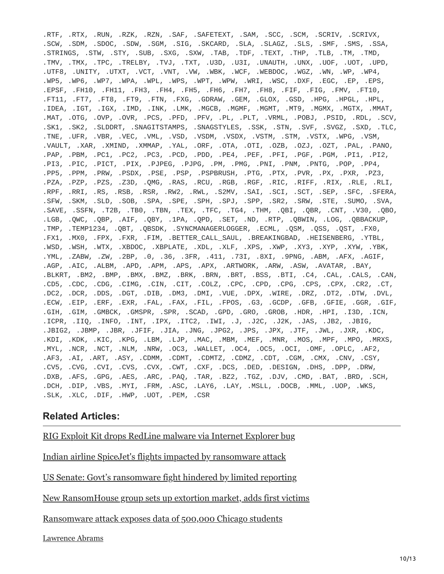.RTF, .RTX, .RUN, .RZK, .RZN, .SAF, .SAFETEXT, .SAM, .SCC, .SCM, .SCRIV, .SCRIVX, .SCW, .SDM, .SDOC, .SDW, .SGM, .SIG, .SKCARD, .SLA, .SLAGZ, .SLS, .SMF, .SMS, .SSA, .STRINGS, .STW, .STY, .SUB, .SXG, .SXW, .TAB, .TDF, .TEXT, .THP, .TLB, .TM, .TMD, .TMV, .TMX, .TPC, .TRELBY, .TVJ, .TXT, .U3D, .U3I, .UNAUTH, .UNX, .UOF, .UOT, .UPD, .UTF8, .UNITY, .UTXT, .VCT, .VNT, .VW, .WBK, .WCF, .WEBDOC, .WGZ, .WN, .WP, .WP4, .WP5, .WP6, .WP7, .WPA, .WPL, .WPS, .WPT, .WPW, .WRI, .WSC, .DXF, .EGC, .EP, .EPS, .EPSF, .FH10, .FH11, .FH3, .FH4, .FH5, .FH6, .FH7, .FH8, .FIF, .FIG, .FMV, .FT10, .FT11, .FT7, .FT8, .FT9, .FTN, .FXG, .GDRAW, .GEM, .GLOX, .GSD, .HPG, .HPGL, .HPL, .IDEA, .IGT, .IGX, .IMD, .INK, .LMK, .MGCB, .MGMF, .MGMT, .MT9, .MGMX, .MGTX, .MMAT, .MAT, .OTG, .OVP, .OVR, .PCS, .PFD, .PFV, .PL, .PLT, .VRML, .POBJ, .PSID, .RDL, .SCV, .SK1, .SK2, .SLDDRT, .SNAGITSTAMPS, .SNAGSTYLES, .SSK, .STN, .SVF, .SVGZ, .SXD, .TLC, .TNE, .UFR, .VBR, .VEC, .VML, .VSD, .VSDM, .VSDX, .VSTM, .STM, .VSTX, .WPG, .VSM, .VAULT, .XAR, .XMIND, .XMMAP, .YAL, .ORF, .OTA, .OTI, .OZB, .OZJ, .OZT, .PAL, .PANO, .PAP, .PBM, .PC1, .PC2, .PC3, .PCD, .PDD, .PE4, .PEF, .PFI, .PGF, .PGM, .PI1, .PI2, .PI3, .PIC, .PICT, .PIX, .PJPEG, .PJPG, .PM, .PMG, .PNI, .PNM, .PNTG, .POP, .PP4, .PP5, .PPM, .PRW, .PSDX, .PSE, .PSP, .PSPBRUSH, .PTG, .PTX, .PVR, .PX, .PXR, .PZ3, .PZA, .PZP, .PZS, .Z3D, .QMG, .RAS, .RCU, .RGB, .RGF, .RIC, .RIFF, .RIX, .RLE, .RLI, .RPF, .RRI, .RS, .RSB, .RSR, .RW2, .RWL, .S2MV, .SAI, .SCI, .SCT, .SEP, .SFC, .SFERA, .SFW, .SKM, .SLD, .SOB, .SPA, .SPE, .SPH, .SPJ, .SPP, .SR2, .SRW, .STE, .SUMO, .SVA, .SAVE, .SSFN, .T2B, .TB0, .TBN, .TEX, .TFC, .TG4, .THM, .QBI, .QBR, .CNT, .V30, .QBO, .LGB, .QWC, .QBP, .AIF, .QBY, .1PA, .QPD, .SET, .ND, .RTP, .QBWIN, .LOG, .QBBACKUP, .TMP, .TEMP1234, .QBT, .QBSDK, .SYNCMANAGERLOGGER, .ECML, .QSM, .QSS, .QST, .FX0, .FX1, .MX0, .FPX, .FXR, .FIM, .BETTER\_CALL\_SAUL, .BREAKINGBAD, .HEISENBERG, .YTBL, .WSD, .WSH, .WTX, .XBDOC, .XBPLATE, .XDL, .XLF, .XPS, .XWP, .XY3, .XYP, .XYW, .YBK, .YML, .ZABW, .ZW, .2BP, .0, .36, .3FR, .411, .73I, .8XI, .9PNG, .ABM, .AFX, .AGIF, .AGP, .AIC, .ALBM, .APD, .APM, .APS, .APX, .ARTWORK, .ARW, .ASW, .AVATAR, .BAY, .BLKRT, .BM2, .BMP, .BMX, .BMZ, .BRK, .BRN, .BRT, .BSS, .BTI, .C4, .CAL, .CALS, .CAN, .CD5, .CDC, .CDG, .CIMG, .CIN, .CIT, .COLZ, .CPC, .CPD, .CPG, .CPS, .CPX, .CR2, .CT, .DC2, .DCR, .DDS, .DGT, .DIB, .DM3, .DMI, .VUE, .DPX, .WIRE, .DRZ, .DT2, .DTW, .DVL, .ECW, .EIP, .ERF, .EXR, .FAL, .FAX, .FIL, .FPOS, .G3, .GCDP, .GFB, .GFIE, .GGR, .GIF, .GIH, .GIM, .GMBCK, .GMSPR, .SPR, .SCAD, .GPD, .GRO, .GROB, .HDR, .HPI, .I3D, .ICN, .ICPR, .IIQ, .INFO, .INT, .IPX, .ITC2, .IWI, .J, .J2C, .J2K, .JAS, .JB2, .JBIG, .JBIG2, .JBMP, .JBR, .JFIF, .JIA, .JNG, .JPG2, .JPS, .JPX, .JTF, .JWL, .JXR, .KDC, .KDI, .KDK, .KIC, .KPG, .LBM, .LJP, .MAC, .MBM, .MEF, .MNR, .MOS, .MPF, .MPO, .MRXS, .MYL, .NCR, .NCT, .NLM, .NRW, .OC3, .WALLET, .OC4, .OC5, .OCI, .OMF, .OPLC, .AF2, .AF3, .AI, .ART, .ASY, .CDMM, .CDMT, .CDMTZ, .CDMZ, .CDT, .CGM, .CMX, .CNV, .CSY, .CV5, .CVG, .CVI, .CVS, .CVX, .CWT, .CXF, .DCS, .DED, .DESIGN, .DHS, .DPP, .DRW, .DXB, .AFS, .GPG, .AES, .ARC, .PAQ, .TAR, .BZ2, .TGZ, .DJV, .CMD, .BAT, .BRD, .SCH, .DCH, .DIP, .VBS, .MYI, .FRM, .ASC, .LAY6, .LAY, .MSLL, .DOCB, .MML, .UOP, .WKS, .SLK, .XLC, .DIF, .HWP, .UOT, .PEM, .CSR

#### **Related Articles:**

[RIG Exploit Kit drops RedLine malware via Internet Explorer bug](https://www.bleepingcomputer.com/news/security/rig-exploit-kit-drops-redline-malware-via-internet-explorer-bug/)

[Indian airline SpiceJet's flights impacted by ransomware attack](https://www.bleepingcomputer.com/news/security/indian-airline-spicejets-flights-impacted-by-ransomware-attack/)

[US Senate: Govt's ransomware fight hindered by limited reporting](https://www.bleepingcomputer.com/news/security/us-senate-govt-s-ransomware-fight-hindered-by-limited-reporting/)

[New RansomHouse group sets up extortion market, adds first victims](https://www.bleepingcomputer.com/news/security/new-ransomhouse-group-sets-up-extortion-market-adds-first-victims/)

[Ransomware attack exposes data of 500,000 Chicago students](https://www.bleepingcomputer.com/news/security/ransomware-attack-exposes-data-of-500-000-chicago-students/)

[Lawrence Abrams](https://www.bleepingcomputer.com/author/lawrence-abrams/)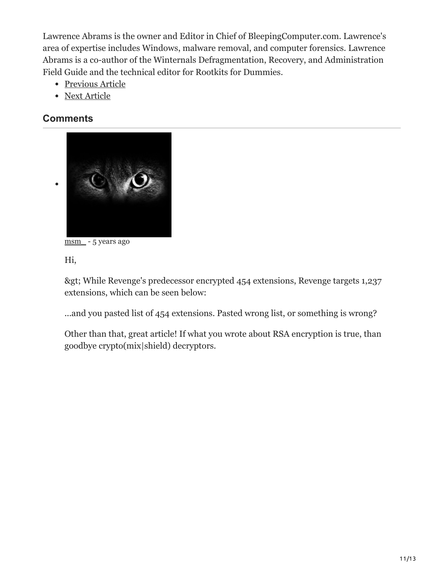Lawrence Abrams is the owner and Editor in Chief of BleepingComputer.com. Lawrence's area of expertise includes Windows, malware removal, and computer forensics. Lawrence Abrams is a co-author of the Winternals Defragmentation, Recovery, and Administration Field Guide and the technical editor for Rootkits for Dummies.

- [Previous Article](https://www.bleepingcomputer.com/offer/deals/new-deal-88-percent-off-the-information-security-certification-training-bundle/)
- [Next Article](https://www.bleepingcomputer.com/news/security/researchers-find-vulnerability-in-whatsapp-and-telegrams-web-clients/)

## <span id="page-10-0"></span>**Comments**



[msm\\_](https://www.bleepingcomputer.com/forums/u/1034062/msm/) - 5 years ago

Hi,

> While Revenge's predecessor encrypted 454 extensions, Revenge targets 1,237 extensions, which can be seen below:

...and you pasted list of 454 extensions. Pasted wrong list, or something is wrong?

Other than that, great article! If what you wrote about RSA encryption is true, than goodbye crypto(mix|shield) decryptors.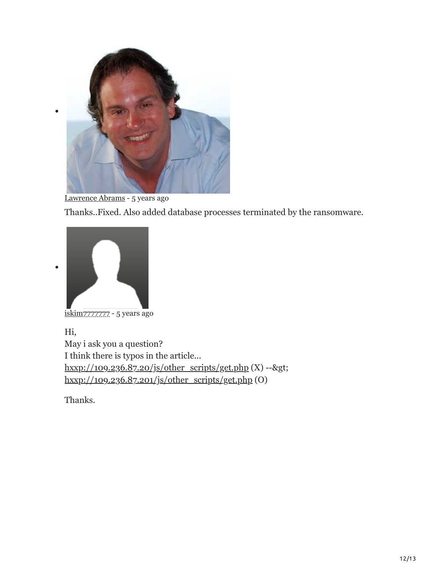

[Lawrence Abrams](https://www.bleepingcomputer.com/author/lawrence-abrams/) - 5 years ago

Thanks..Fixed. Also added database processes terminated by the ransomware.



[iskim7777777](https://www.bleepingcomputer.com/forums/u/986503/iskim7777777/)77 - 5 years ago

Hi, May i ask you a question? I think there is typos in the article...  $hxxp://109.236.87.20/js/other_scripts/get.php (X) -->gt;$  $hxxp://109.236.87.20/js/other_scripts/get.php (X) -->gt;$ [hxxp://109.236.87.201/js/other\\_scripts/get.php](hxxp://109.236.87.201/js/other_scripts/get.php) (O)

Thanks.

 $\bullet$